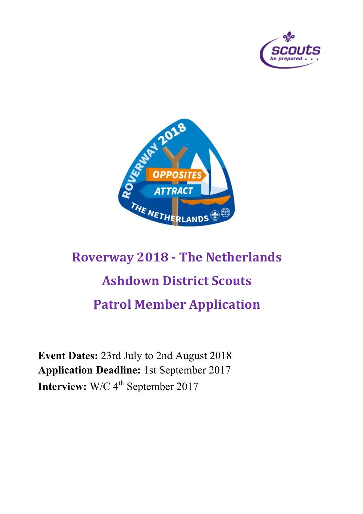



# **Roverway 2018 - The Netherlands Ashdown District Scouts Patrol Member Application**

**Event Dates:** 23rd July to 2nd August 2018 **Application Deadline:** 1st September 2017 **Interview:** W/C 4<sup>th</sup> September 2017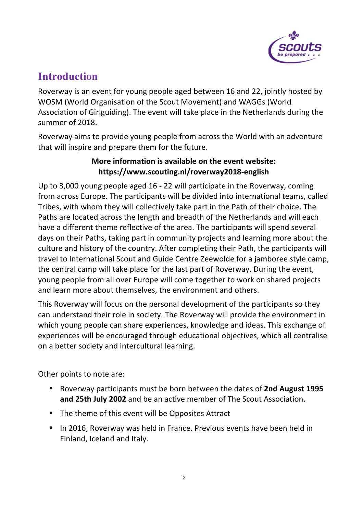

## **Introduction**

Roverway is an event for young people aged between 16 and 22, jointly hosted by WOSM (World Organisation of the Scout Movement) and WAGGs (World Association of Girlguiding). The event will take place in the Netherlands during the summer of 2018.

Roverway aims to provide young people from across the World with an adventure that will inspire and prepare them for the future.

#### **More information is available on the event website: https://www.scouting.nl/roverway2018-english**

Up to 3,000 young people aged 16 - 22 will participate in the Roverway, coming from across Europe. The participants will be divided into international teams, called Tribes, with whom they will collectively take part in the Path of their choice. The Paths are located across the length and breadth of the Netherlands and will each have a different theme reflective of the area. The participants will spend several days on their Paths, taking part in community projects and learning more about the culture and history of the country. After completing their Path, the participants will travel to International Scout and Guide Centre Zeewolde for a jamboree style camp, the central camp will take place for the last part of Roverway. During the event, young people from all over Europe will come together to work on shared projects and learn more about themselves, the environment and others.

This Roverway will focus on the personal development of the participants so they can understand their role in society. The Roverway will provide the environment in which young people can share experiences, knowledge and ideas. This exchange of experiences will be encouraged through educational objectives, which all centralise on a better society and intercultural learning.

Other points to note are:

- Roverway participants must be born between the dates of 2nd August 1995 and 25th July 2002 and be an active member of The Scout Association.
- The theme of this event will be Opposites Attract
- In 2016, Roverway was held in France. Previous events have been held in Finland, Iceland and Italy.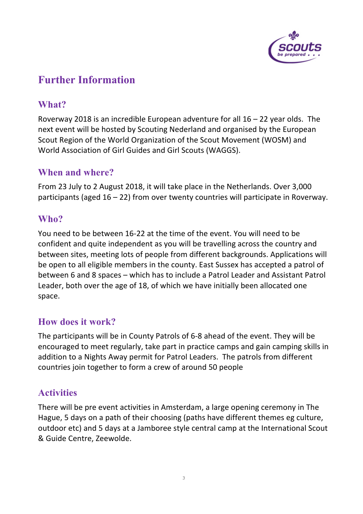

### **Further Information**

#### **What?**

Roverway 2018 is an incredible European adventure for all  $16 - 22$  year olds. The next event will be hosted by Scouting Nederland and organised by the European Scout Region of the World Organization of the Scout Movement (WOSM) and World Association of Girl Guides and Girl Scouts (WAGGS).

#### **When and where?**

From 23 July to 2 August 2018, it will take place in the Netherlands. Over 3,000 participants (aged  $16 - 22$ ) from over twenty countries will participate in Roverway.

#### **Who?**

You need to be between 16-22 at the time of the event. You will need to be confident and quite independent as you will be travelling across the country and between sites, meeting lots of people from different backgrounds. Applications will be open to all eligible members in the county. East Sussex has accepted a patrol of between 6 and 8 spaces – which has to include a Patrol Leader and Assistant Patrol Leader, both over the age of 18, of which we have initially been allocated one space.

#### **How does it work?**

The participants will be in County Patrols of 6-8 ahead of the event. They will be encouraged to meet regularly, take part in practice camps and gain camping skills in addition to a Nights Away permit for Patrol Leaders. The patrols from different countries join together to form a crew of around 50 people

### **Activities**

There will be pre event activities in Amsterdam, a large opening ceremony in The Hague, 5 days on a path of their choosing (paths have different themes eg culture, outdoor etc) and 5 days at a Jamboree style central camp at the International Scout & Guide Centre, Zeewolde.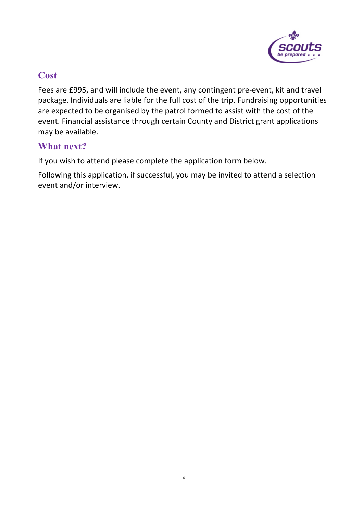

#### **Cost**

Fees are £995, and will include the event, any contingent pre-event, kit and travel package. Individuals are liable for the full cost of the trip. Fundraising opportunities are expected to be organised by the patrol formed to assist with the cost of the event. Financial assistance through certain County and District grant applications may be available.

#### **What next?**

If you wish to attend please complete the application form below.

Following this application, if successful, you may be invited to attend a selection event and/or interview.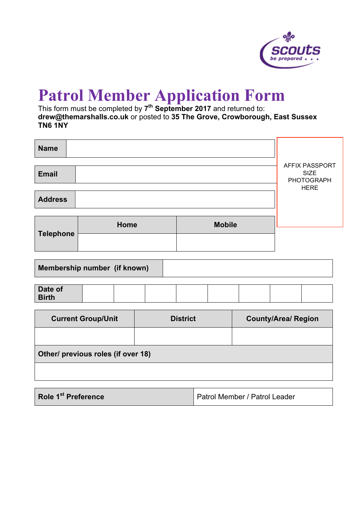

## **Patrol Member Application Form**

This form must be completed by **7th September 2017** and returned to: **drew@themarshalls.co.uk** or posted to **35 The Grove, Crowborough, East Sussex TN6 1NY**

| <b>Name</b>      |      |                                                    |             |
|------------------|------|----------------------------------------------------|-------------|
| <b>Email</b>     |      | <b>AFFIX PASSPORT</b><br><b>SIZE</b><br>PHOTOGRAPH |             |
| <b>Address</b>   |      |                                                    | <b>HERE</b> |
| <b>Telephone</b> | Home | <b>Mobile</b>                                      |             |
|                  |      |                                                    |             |

| Membership number (if known) |  |
|------------------------------|--|
|                              |  |

| Date of      |  |  |  |  |
|--------------|--|--|--|--|
| <b>Birth</b> |  |  |  |  |

| <b>Current Group/Unit</b>          | <b>District</b> | <b>County/Area/ Region</b> |  |  |
|------------------------------------|-----------------|----------------------------|--|--|
|                                    |                 |                            |  |  |
| Other/ previous roles (if over 18) |                 |                            |  |  |
|                                    |                 |                            |  |  |

| Role 1 <sup>st</sup> Preference | Patrol Member / Patrol Leader |
|---------------------------------|-------------------------------|
|---------------------------------|-------------------------------|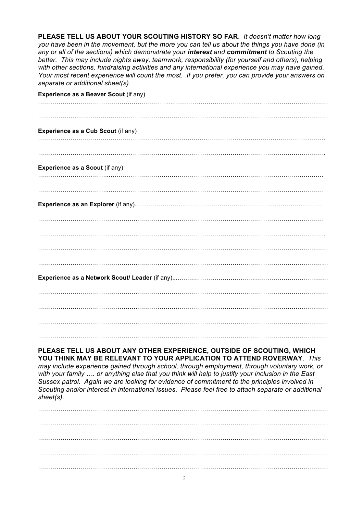**PLEASE TELL US ABOUT YOUR SCOUTING HISTORY SO FAR**. *It doesn't matter how long you have been in the movement, but the more you can tell us about the things you have done (in any or all of the sections) which demonstrate your interest and commitment to Scouting the better. This may include nights away, teamwork, responsibility (for yourself and others), helping with other sections, fundraising activities and any international experience you may have gained. Your most recent experience will count the most. If you prefer, you can provide your answers on separate or additional sheet(s).*

| Experience as a Beaver Scout (if any) |
|---------------------------------------|
|                                       |
| Experience as a Cub Scout (if any)    |
|                                       |
| Experience as a Scout (if any)        |
|                                       |
|                                       |
|                                       |
|                                       |
|                                       |
|                                       |
|                                       |
|                                       |
|                                       |

#### **PLEASE TELL US ABOUT ANY OTHER EXPERIENCE, OUTSIDE OF SCOUTING, WHICH YOU THINK MAY BE RELEVANT TO YOUR APPLICATION TO ATTEND ROVERWAY**. *This*

*may include experience gained through school, through employment, through voluntary work, or with your family …. or anything else that you think will help to justify your inclusion in the East Sussex patrol. Again we are looking for evidence of commitment to the principles involved in Scouting and/or interest in international issues*. *Please feel free to attach separate or additional sheet(s).*

…………………………………………..………………………………………………………………………………… …………………………………………..………………………………………………………………………………… …………………………………………..………………………………………………………………………………… …………………………………………..…………………………………………………………………………………